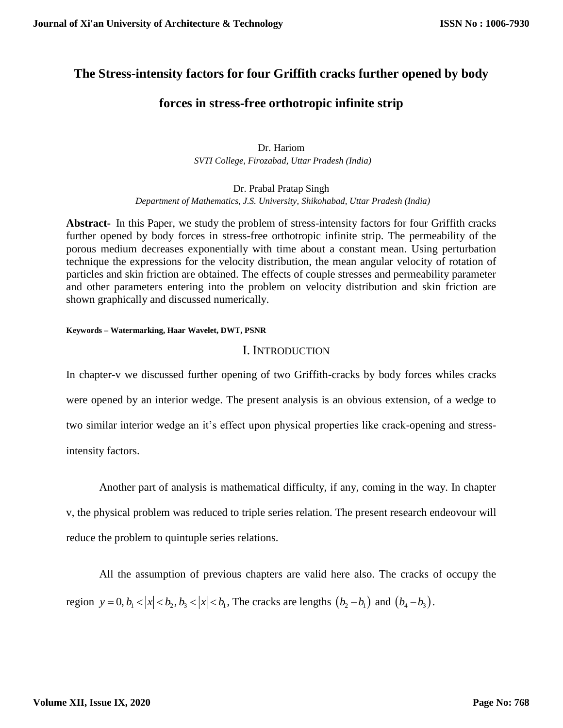# **The Stress-intensity factors for four Griffith cracks further opened by body**

# **forces in stress-free orthotropic infinite strip**

Dr. Hariom  *SVTI College, Firozabad, Uttar Pradesh (India)*

Dr. Prabal Pratap Singh  *Department of Mathematics, J.S. University, Shikohabad, Uttar Pradesh (India)*

**Abstract-** In this Paper, we study the problem of stress-intensity factors for four Griffith cracks further opened by body forces in stress-free orthotropic infinite strip. The permeability of the porous medium decreases exponentially with time about a constant mean. Using perturbation technique the expressions for the velocity distribution, the mean angular velocity of rotation of particles and skin friction are obtained. The effects of couple stresses and permeability parameter and other parameters entering into the problem on velocity distribution and skin friction are shown graphically and discussed numerically.

### **Keywords – Watermarking, Haar Wavelet, DWT, PSNR**

## I. INTRODUCTION

In chapter-v we discussed further opening of two Griffith-cracks by body forces whiles cracks were opened by an interior wedge. The present analysis is an obvious extension, of a wedge to two similar interior wedge an it's effect upon physical properties like crack-opening and stressintensity factors.

Another part of analysis is mathematical difficulty, if any, coming in the way. In chapter v, the physical problem was reduced to triple series relation. The present research endeovour will reduce the problem to quintuple series relations.

All the assumption of previous chapters are valid here also. The cracks of occupy the region  $y = 0, b_1 < |x| < b_2, b_3 < |x| < b_1$ , The cracks are lengths  $(b_2 - b_1)$  and  $(b_4 - b_3)$ .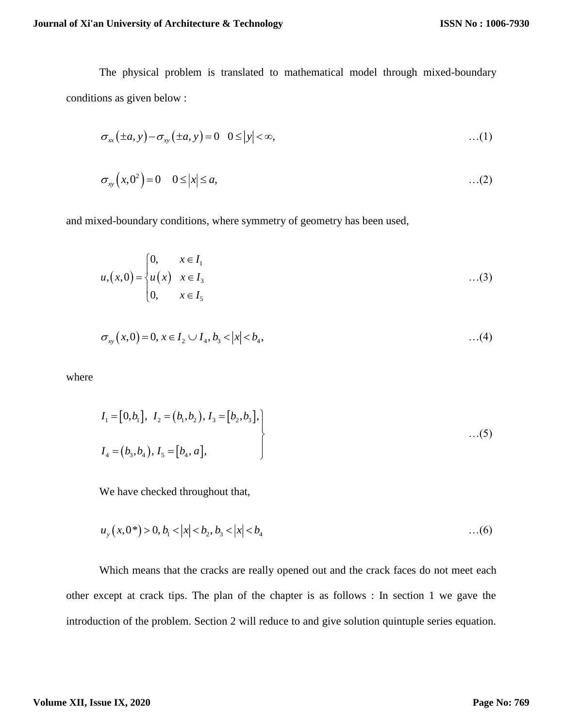The physical problem is translated to mathematical model through mixed-boundary conditions as given below :

$$
\sigma_{xx}(\pm a, y) - \sigma_{xy}(\pm a, y) = 0 \quad 0 \le |y| < \infty, \tag{1}
$$

$$
\sigma_{xy}\left(x,0^2\right)=0 \quad 0\leq |x|\leq a,\tag{2}
$$

and mixed-boundary conditions, where symmetry of geometry has been used,

$$
u_{1}(x,0) = \begin{cases} 0, & x \in I_{1} \\ u(x) & x \in I_{3} \\ 0, & x \in I_{5} \end{cases}
$$
...(3)

$$
\sigma_{xy}(x,0) = 0, x \in I_2 \cup I_4, b_3 < |x| < b_4, \tag{4}
$$

where

$$
I_1 = [0, b_1], I_2 = (b_1, b_2), I_3 = [b_2, b_3],
$$
  
\n
$$
I_4 = (b_3, b_4), I_5 = [b_4, a],
$$
...(5)

We have checked throughout that,

$$
u_y(x,0^*) > 0, b_1 < |x| < b_2, b_3 < |x| < b_4 \tag{6}
$$

Which means that the cracks are really opened out and the crack faces do not meet each other except at crack tips. The plan of the chapter is as follows : In section 1 we gave the introduction of the problem. Section 2 will reduce to and give solution quintuple series equation.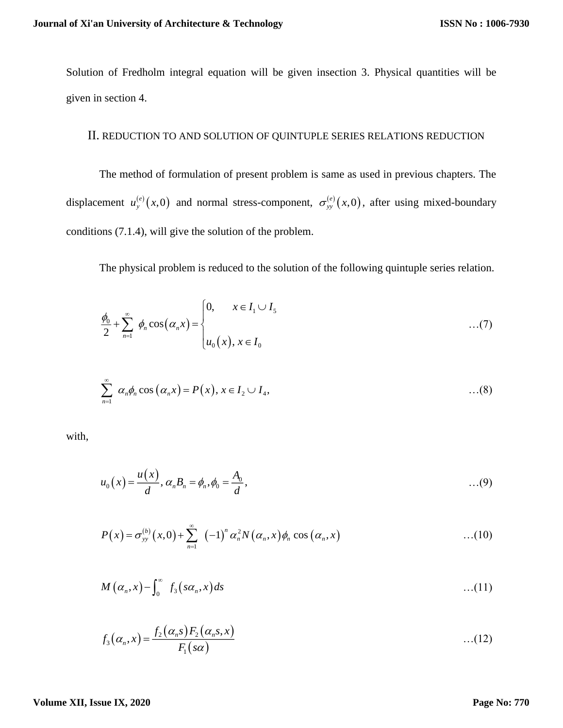Solution of Fredholm integral equation will be given insection 3. Physical quantities will be given in section 4.

# II. REDUCTION TO AND SOLUTION OF QUINTUPLE SERIES RELATIONS REDUCTION

The method of formulation of present problem is same as used in previous chapters. The displacement  $u_{y}^{(e)}(x,0)$  and normal stress-component,  $\sigma_{yy}^{(e)}(x,0)$ , after using mixed-boundary conditions (7.1.4), will give the solution of the problem.

The physical problem is reduced to the solution of the following quintuple series relation.

$$
\frac{\phi_0}{2} + \sum_{n=1}^{\infty} \phi_n \cos(\alpha_n x) = \begin{cases} 0, & x \in I_1 \cup I_5 \\ u_0(x), & x \in I_0 \end{cases} \tag{7}
$$

$$
\sum_{n=1}^{\infty} \alpha_n \phi_n \cos(\alpha_n x) = P(x), x \in I_2 \cup I_4, \qquad \qquad \dots (8)
$$

with,

$$
u_0(x) = \frac{u(x)}{d}, \, \alpha_n B_n = \phi_n, \phi_0 = \frac{A_0}{d}, \quad \ldots (9)
$$

$$
P(x) = \sigma_{yy}^{(b)}(x,0) + \sum_{n=1}^{\infty} (-1)^n \alpha_n^2 N(\alpha_n,x) \phi_n \cos(\alpha_n,x) \qquad \qquad \dots (10)
$$

$$
M\left(\alpha_n,x\right)-\int_0^\infty f_3\left(s\alpha_n,x\right)ds\tag{11}
$$

$$
f_3(\alpha_n, x) = \frac{f_2(\alpha_n s) F_2(\alpha_n s, x)}{F_1(s\alpha)}
$$
...(12)

### **Volume XII, Issue IX, 2020**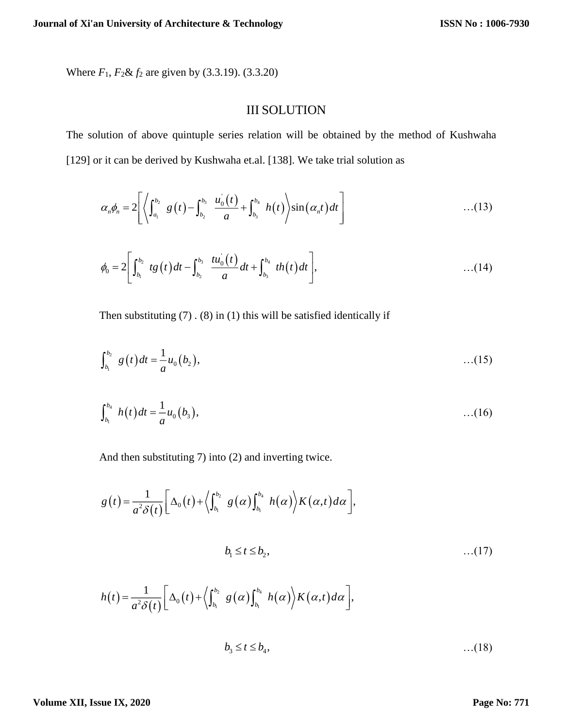Where *F*1, *F*2& *f*<sup>2</sup> are given by (3.3.19). (3.3.20)

# III SOLUTION

The solution of above quintuple series relation will be obtained by the method of Kushwaha [129] or it can be derived by Kushwaha et.al. [138]. We take trial solution as

$$
\alpha_n \phi_n = 2 \left[ \left\langle \int_{a_1}^{b_2} g(t) - \int_{b_2}^{b_3} \frac{u_0(t)}{a} + \int_{b_3}^{b_4} h(t) \right\rangle \sin(\alpha_n t) dt \right] \quad ...(13)
$$

$$
\phi_0 = 2 \left[ \int_{b_1}^{b_2} t g(t) dt - \int_{b_2}^{b_3} \frac{t u_0(t)}{a} dt + \int_{b_3}^{b_4} th(t) dt \right], \qquad \qquad \dots (14)
$$

Then substituting  $(7)$ .  $(8)$  in  $(1)$  this will be satisfied identically if

$$
\int_{b_1}^{b_2} g(t) dt = \frac{1}{a} u_0(b_2), \qquad \qquad \dots (15)
$$

$$
\int_{b_1}^{b_4} h(t) dt = \frac{1}{a} u_0(b_3), \qquad \qquad \dots (16)
$$

And then substituting 7) into (2) and inverting twice.

$$
g(t) = \frac{1}{a^2 \delta(t)} \left[ \Delta_0(t) + \left\langle \int_{b_1}^{b_2} g(\alpha) \int_{b_1}^{b_4} h(\alpha) \right\rangle K(\alpha, t) d\alpha \right],
$$
  

$$
b_1 \le t \le b_2,
$$
...(17)  

$$
h(t) = \frac{1}{a^2 \delta(t)} \left[ \Delta_0(t) + \left\langle \int_{b_1}^{b_2} g(\alpha) \int_{b_1}^{b_4} h(\alpha) \right\rangle K(\alpha, t) d\alpha \right],
$$

$$
b_3 \leq t \leq b_4, \tag{18}
$$

### **Volume XII, Issue IX, 2020**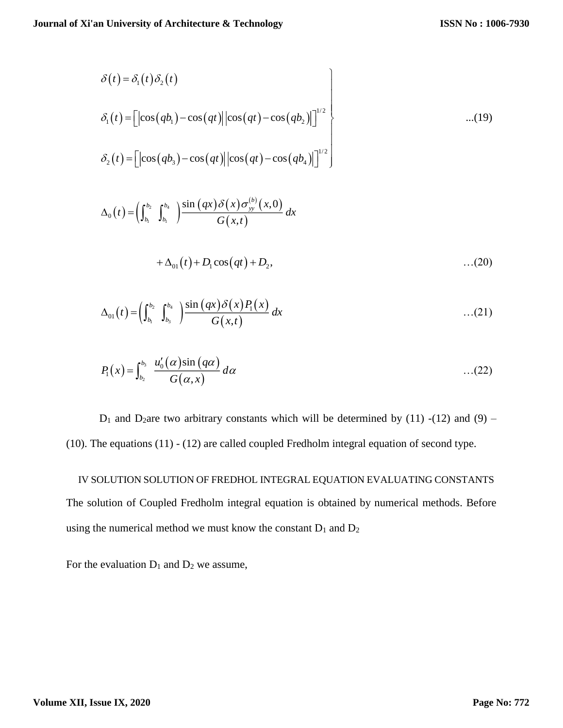$$
\delta(t) = \delta_1(t)\delta_2(t)
$$
  
\n
$$
\delta_1(t) = \left[|\cos(qb_1) - \cos(qt)||\cos(qt) - \cos(qb_2)|\right]^{1/2}
$$
...(19)  
\n
$$
\delta_2(t) = \left[|\cos(qb_3) - \cos(qt)||\cos(qt) - \cos(qb_4)|\right]^{1/2}
$$

$$
\Delta_0(t) = \left(\int_{b_1}^{b_2} \int_{b_1}^{b_4} \right) \frac{\sin (qx) \delta(x) \sigma_{yy}^{(b)}(x,0)}{G(x,t)} dx
$$

$$
+\Delta_{01}(t) + D_1 \cos(qt) + D_2, \tag{20}
$$

$$
\Delta_{01}(t) = \left(\int_{b_1}^{b_2} \int_{b_3}^{b_4} \right) \frac{\sin (qx) \delta(x) P_1(x)}{G(x,t)} dx \qquad \qquad \dots (21)
$$

$$
P_1(x) = \int_{b_2}^{b_3} \frac{u'_0(\alpha)\sin(q\alpha)}{G(\alpha, x)} d\alpha \qquad \qquad \dots (22)
$$

 $D_1$  and  $D_2$ are two arbitrary constants which will be determined by (11) -(12) and (9) – (10). The equations (11) - (12) are called coupled Fredholm integral equation of second type.

IV SOLUTION SOLUTION OF FREDHOL INTEGRAL EQUATION EVALUATING CONSTANTS The solution of Coupled Fredholm integral equation is obtained by numerical methods. Before using the numerical method we must know the constant  $D_1$  and  $D_2$ 

For the evaluation  $D_1$  and  $D_2$  we assume,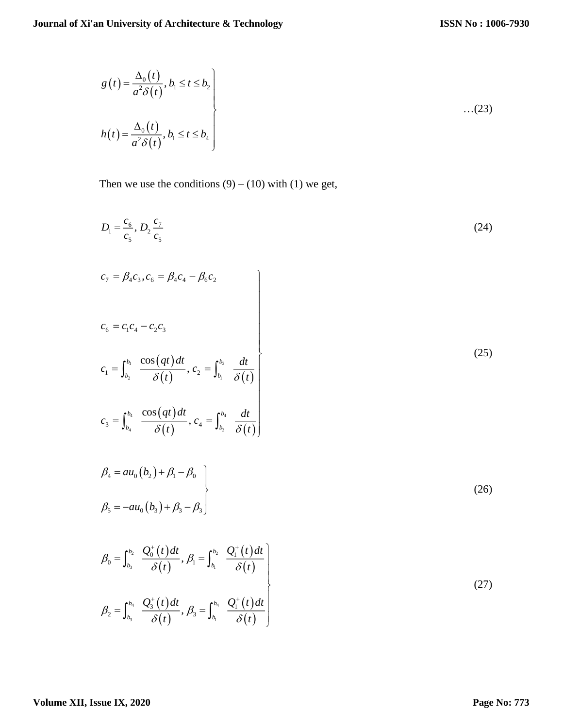$$
g(t) = \frac{\Delta_0(t)}{a^2 \delta(t)}, b_1 \le t \le b_2
$$
  

$$
h(t) = \frac{\Delta_0(t)}{a^2 \delta(t)}, b_1 \le t \le b_4
$$
...(23)

Then we use the conditions  $(9) - (10)$  with  $(1)$  we get,

$$
D_{1} = \frac{c_{6}}{c_{5}}, D_{2} \frac{c_{7}}{c_{5}}
$$
\n
$$
c_{7} = \beta_{4} c_{3}, c_{6} = \beta_{4} c_{4} - \beta_{6} c_{2}
$$
\n
$$
c_{6} = c_{1} c_{4} - c_{2} c_{3}
$$
\n
$$
c_{1} = \int_{b_{2}}^{b_{1}} \frac{\cos (qt)dt}{\delta(t)}, c_{2} = \int_{b_{1}}^{b_{2}} \frac{dt}{\delta(t)}
$$
\n
$$
c_{3} = \int_{b_{1}}^{b_{4}} \frac{\cos (qt)dt}{\delta(t)}, c_{4} = \int_{b_{5}}^{b_{4}} \frac{dt}{\delta(t)}
$$
\n
$$
\beta_{4} = au_{0} (b_{2}) + \beta_{1} - \beta_{0}
$$
\n
$$
\beta_{5} = -au_{0} (b_{3}) + \beta_{3} - \beta_{3}
$$
\n(26)

$$
\beta_0 = \int_{b_3}^{b_2} \frac{Q_0^+(t)dt}{\delta(t)}, \beta_1 = \int_{b_1}^{b_2} \frac{Q_1^+(t)dt}{\delta(t)}
$$
\n
$$
\beta_2 = \int_{b_3}^{b_4} \frac{Q_3^+(t)dt}{\delta(t)}, \beta_3 = \int_{b_1}^{b_4} \frac{Q_1^+(t)dt}{\delta(t)}
$$
\n(27)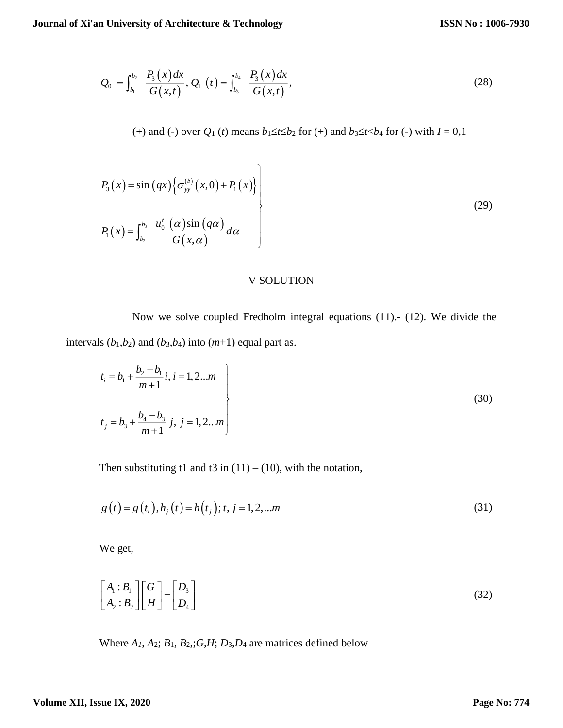$$
Q_0^{\pm} = \int_{b_1}^{b_2} \frac{P_3(x) dx}{G(x,t)}, Q_1^{\pm}(t) = \int_{b_3}^{b_4} \frac{P_3(x) dx}{G(x,t)},
$$
\n(28)

(+) and (-) over  $Q_1$  (*t*) means  $b_1 \le t \le b_2$  for (+) and  $b_3 \le t < b_4$  for (-) with  $I = 0,1$ 

$$
P_3(x) = \sin (qx) \Big\{ \sigma_{yy}^{(b)}(x,0) + P_1(x) \Big\}
$$
  

$$
P_1(x) = \int_{b_2}^{b_3} \frac{u'_0(\alpha) \sin (q\alpha)}{G(x,\alpha)} d\alpha
$$
 (29)

### V SOLUTION

Now we solve coupled Fredholm integral equations (11).- (12). We divide the intervals  $(b_1, b_2)$  and  $(b_3, b_4)$  into  $(m+1)$  equal part as.

$$
t_i = b_1 + \frac{b_2 - b_1}{m+1} i, i = 1, 2...m
$$
  

$$
t_j = b_3 + \frac{b_4 - b_3}{m+1} j, j = 1, 2...m
$$
 (30)

Then substituting t1 and t3 in  $(11) - (10)$ , with the notation,

$$
g(t) = g(t_i), h_j(t) = h(t_j); t, j = 1, 2, ...m
$$
\n(31)

We get,

$$
\begin{bmatrix} A_1 : B_1 \\ A_2 : B_2 \end{bmatrix} \begin{bmatrix} G \\ H \end{bmatrix} = \begin{bmatrix} D_3 \\ D_4 \end{bmatrix}
$$
 (32)

Where  $A_1$ ,  $A_2$ ;  $B_1$ ,  $B_2$ ;  $G$ ,  $H$ ;  $D_3$ ,  $D_4$  are matrices defined below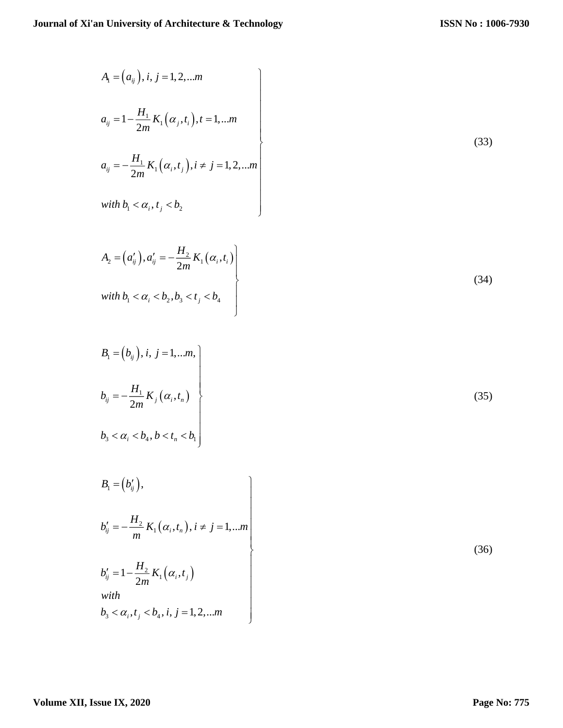$$
A_{1} = (a_{ij}), i, j = 1, 2, ...m
$$
\n
$$
a_{ij} = 1 - \frac{H_{1}}{2m} K_{1}(\alpha_{j}, t_{i}), t = 1, ...m
$$
\n
$$
a_{ij} = -\frac{H_{1}}{2m} K_{1}(\alpha_{i}, t_{j}), i \neq j = 1, 2, ...m
$$
\nwith  $b_{1} < \alpha_{i}, t_{j} < b_{2}$ \n(33)

$$
A_{2} = (a'_{ij}), a'_{ij} = -\frac{H_{2}}{2m} K_{1}(\alpha_{i}, t_{i})
$$
  
with  $b_{1} < \alpha_{i} < b_{2}, b_{3} < t_{j} < b_{4}$  (34)

$$
B_{1} = (b_{ij}), i, j = 1,...m,
$$
  
\n
$$
b_{ij} = -\frac{H_{1}}{2m} K_{j} (\alpha_{i}, t_{n})
$$
  
\n
$$
b_{3} < \alpha_{i} < b_{4}, b < t_{n} < b_{1}
$$
\n(35)

$$
B_{1} = (b'_{ij}),
$$
  
\n
$$
b'_{ij} = -\frac{H_{2}}{m} K_{1}(\alpha_{i}, t_{n}), i \neq j = 1,...m
$$
  
\n
$$
b'_{ij} = 1 - \frac{H_{2}}{2m} K_{1}(\alpha_{i}, t_{j})
$$
  
\nwith  
\n
$$
b_{3} < \alpha_{i}, t_{j} < b_{4}, i, j = 1, 2, ...m
$$

(36)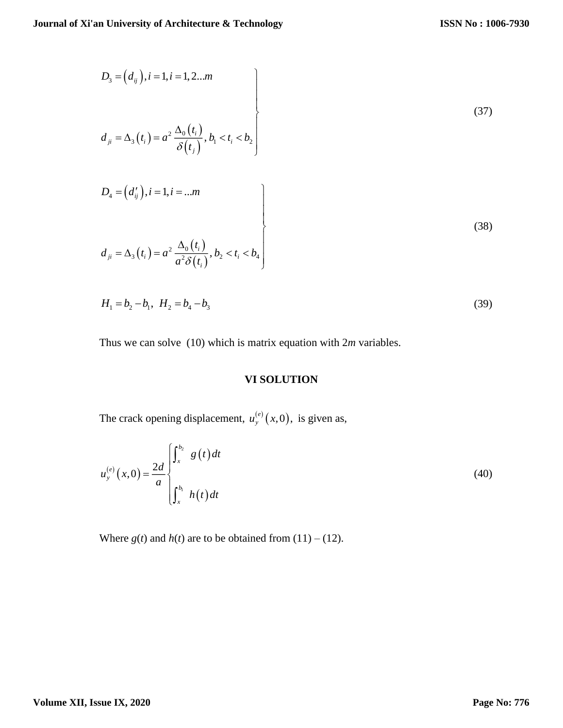$$
D_3 = (d_{ij}), i = 1, i = 1, 2...m
$$
  
\n
$$
d_{ji} = \Delta_3(t_i) = a^2 \frac{\Delta_0(t_i)}{\delta(t_j)}, b_1 < t_i < b_2
$$
  
\n
$$
D_4 = (d'_{ij}), i = 1, i = ...m
$$
  
\n
$$
d_{ji} = \Delta_3(t_i) = a^2 \frac{\Delta_0(t_i)}{a^2 \delta(t_i)}, b_2 < t_i < b_4
$$
  
\n(38)

$$
H_1 = b_2 - b_1, \ H_2 = b_4 - b_3 \tag{39}
$$

Thus we can solve (10) which is matrix equation with 2*m* variables.

# **VI SOLUTION**

The crack opening displacement,  $u_{y}^{(e)}(x,0)$ , is given as,

$$
u_{y}^{(e)}(x,0) = \frac{2d}{a} \begin{cases} \int_{x}^{b_{2}} g(t) dt \\ \int_{x}^{b_{1}} h(t) dt \end{cases}
$$
 (40)

Where  $g(t)$  and  $h(t)$  are to be obtained from  $(11) - (12)$ .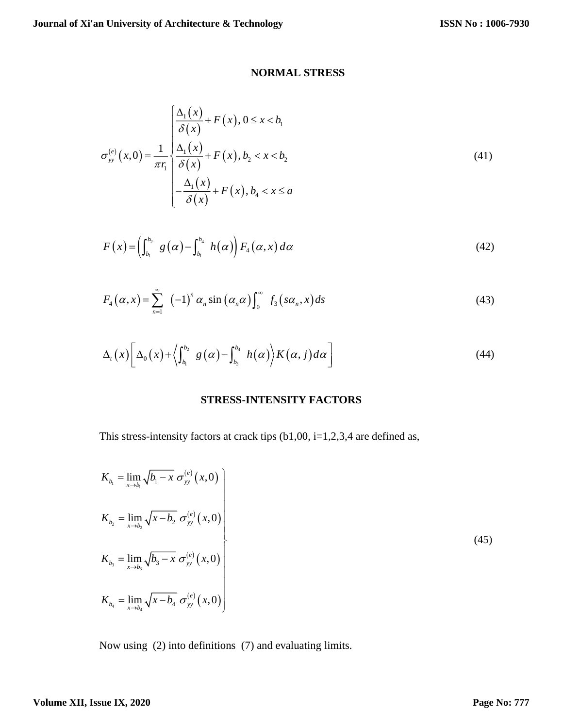# **NORMAL STRESS**

$$
\sigma_{yy}^{(e)}(x,0) = \frac{1}{\pi r_1} \begin{cases} \frac{\Delta_1(x)}{\delta(x)} + F(x), 0 \le x < b_1 \\ \frac{\Delta_1(x)}{\delta(x)} + F(x), b_2 < x < b_2 \\ -\frac{\Delta_1(x)}{\delta(x)} + F(x), b_4 < x \le a \end{cases}
$$
(41)

$$
F(x) = \left(\int_{b_1}^{b_2} g(\alpha) - \int_{b_1}^{b_4} h(\alpha)\right) F_4(\alpha, x) d\alpha \tag{42}
$$

$$
F_4(\alpha, x) = \sum_{n=1}^{\infty} (-1)^n \alpha_n \sin(\alpha_n \alpha) \int_0^{\infty} f_3(s\alpha_n, x) ds
$$
 (43)

$$
\Delta_{t}(x)\bigg[\Delta_{0}(x)+\bigg\langle \int_{b_{1}}^{b_{2}}g(\alpha)-\int_{b_{3}}^{b_{4}}h(\alpha)\bigg\rangle K(\alpha,j)d\alpha\bigg]
$$
\n(44)

# **STRESS-INTENSITY FACTORS**

This stress-intensity factors at crack tips  $(b1,00, i=1,2,3,4$  are defined as,

$$
K_{b_1} = \lim_{x \to b_1} \sqrt{b_1 - x} \, \sigma_{yy}^{(e)}(x,0)
$$
\n
$$
K_{b_2} = \lim_{x \to b_2} \sqrt{x - b_2} \, \sigma_{yy}^{(e)}(x,0)
$$
\n
$$
K_{b_3} = \lim_{x \to b_3} \sqrt{b_3 - x} \, \sigma_{yy}^{(e)}(x,0)
$$
\n
$$
K_{b_4} = \lim_{x \to b_4} \sqrt{x - b_4} \, \sigma_{yy}^{(e)}(x,0)
$$
\n(45)

Now using (2) into definitions (7) and evaluating limits.

# **Volume XII, Issue IX, 2020**